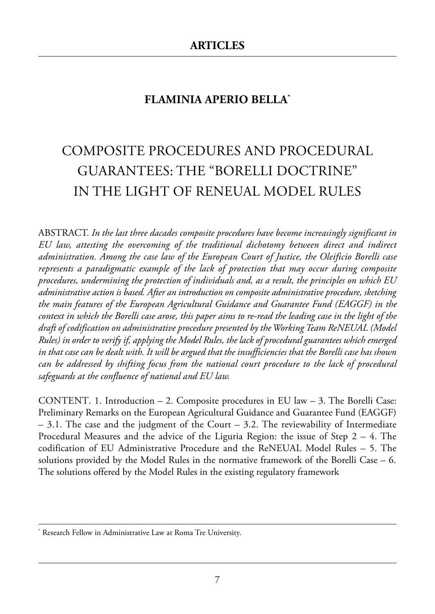# **FLAMINIA APERIO BELLA\***

# Composite proCedures and proCedural Guarantees: the "Borelli doCtrine" in the liGht of reneual model rules

aBstraCt. *In the last three dacades composite procedures have become increasingly significant in EU law, attesting the overcoming of the traditional dichotomy between direct and indirect administration. Among the case law of the European Court of Justice, the Oleificio Borelli case represents a paradigmatic example of the lack of protection that may occur during composite procedures, undermining the protection of individuals and, as a result, the principles on which EU administrative action is based. After an introduction on composite administrative procedure, sketching the main features of the European Agricultural Guidance and Guarantee Fund (EAGGF) in the context in which the Borelli case arose, this paper aims to re-read the leading case in the light of the draft of codification on administrative procedure presented by the Working Team ReNEUAL (Model Rules) in order to verify if, applying the Model Rules, the lack of procedural guarantees which emerged in that case can be dealt with. It will be argued that the insufficiencies that the Borelli case has shown can be addressed by shifting focus from the national court procedure to the lack of procedural safeguards at the confluence of national and EU law.*

CONTENT. 1. Introduction  $-2$ . Composite procedures in EU law  $-3$ . The Borelli Case: Preliminary Remarks on the European Agricultural Guidance and Guarantee Fund (EAGGF)  $-$  3.1. The case and the judgment of the Court  $-$  3.2. The reviewability of Intermediate Procedural Measures and the advice of the Liguria Region: the issue of Step  $2 - 4$ . The codification of EU Administrative Procedure and the ReNEUAL Model Rules  $-$  5. The solutions provided by the Model Rules in the normative framework of the Borelli Case  $-6$ . The solutions offered by the Model Rules in the existing regulatory framework

Research Fellow in Administrative Law at Roma Tre University.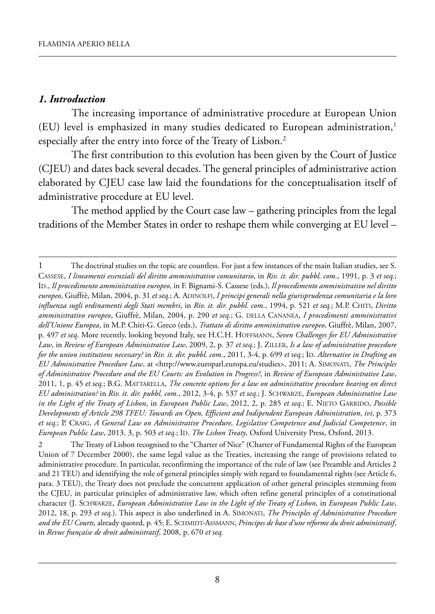#### *1. Introduction*

The increasing importance of administrative procedure at European Union (EU) level is emphasized in many studies dedicated to European administration,<sup>1</sup> especially after the entry into force of the Treaty of Lisbon.2

The first contribution to this evolution has been given by the Court of Justice (CJEU) and dates back several decades. The general principles of administrative action elaborated by CJEU case law laid the foundations for the conceptualisation itself of administrative procedure at EU level.

The method applied by the Court case law – gathering principles from the legal traditions of the Member States in order to reshape them while converging at EU level –

<sup>1</sup> The doctrinal studies on the topic are countless. For just a few instances of the main Italian studies, see S. CASSESE, *I lineamenti essenziali del diritto amministrativo comunitario*, in *Riv. it. dir. pubbl*. *com*., 1991, p. 3 *et seq.*; ID., *Il procedimento amministrativo europeo*, in F. Bignami-S. Cassese (eds.), *Il procedimento amministrativo nel diritto europeo*, Giuffrè, Milan, 2004, p. 31 *et seq.*; A. ADINOLFI, *I principi generali nella giurisprudenza comunitaria e la loro influenza sugli ordinamenti degli Stati membri*, in *Riv. it. dir. pubbl. com*., 1994, p. 521 *et seq.*; M.P. CHITI, *Diritto amministrativo europeo*, Giuffrè, Milan, 2004, p. 290 *et seq.*; G. DELLA CANANEA, *I procedimenti amministrativi dell'Unione Europea*, in M.P. Chiti-G. Greco (eds.), *Trattato di diritto amministrativo europeo*, Giuffrè, Milan, 2007, p. 497 *et seq*. More recently, looking beyond Italy, see H.C.H. HOFFMANN, *Seven Challenges for EU Administrative Law*, in *Review of European Administrative Law*, 2009, 2, p. 37 *et seq.*; J. ZILLER, *Is a law of administrative procedure for the union institutions necessary?* in *Riv. it. dir. pubbl. com*., 2011, 3-4, p. 699 *et seq.*; ID. *Alternative in Drafting an EU Administrative Procedure Law*, at [<http://www.europarl.europa.eu/studies>,](http://www.europarl.europa.eu/studies) 2011; A. SIMONATI, *The Principles of Administrative Procedure and the EU Courts: an Evolution in Progress?*, in *Review of European Administrative Law*, 2011, 1, p. 45 *et seq.*; B.G. MATTARELLA, *The concrete options for a law on administrative procedure bearing on direct EU administration?* in *Riv. it. dir. pubbl. com*., 2012, 3-4, p. 537 *et seq.*; J. SCHWARZE, *European Administrative Law in the Light of the Treaty of Lisbon*, in *European Public Law*, 2012, 2, p. 285 *et seq.*; E. NIETO GARRIDO, *Possible Developments of Article 298 TFEU: Towards an Open, Efficient and Indipendent European Administration*, *ivi*, p. 373 *et seq.*; P. CRAIG, *A General Law on Administrative Procedure, Legislative Competence and Judicial Competence*, in *European Public Law*, 2013, 3, p. 503 *et seq.*; ID. *The Lisbon Treaty*, Oxford University Press, Oxford, 2013.

<sup>2</sup> The Treaty of Lisbon recognised to the "Charter of Nice" (Charter of Fundamental Rights of the European Union of 7 December 2000), the same legal value as the Treaties, increasing the range of provisions related to administrative procedure. In particular, reconfirming the importance of the rule of law (see Preamble and Articles 2 and 21 TEU) and identifying the role of general principles simply with regard to foundamental rights (see Article 6, para. 3 TEU), the Treaty does not preclude the concurrent application of other general principles stemming from the CJEU, in particular principles of administrative law, which often refine general principles of a constitutional character (J. SCHWARZE, *European Administrative Law in the Light of the Treaty of Lisbon*, in *European Public Law*, 2012, 18, p. 293 *et seq.*). This aspect is also underlined in A. SIMONATI, *The Principles of Administrative Procedure and the EU Courts,* already quoted, p. 45; E. SCHMIDT-ASSMANN, *Principes de base d'une réforme du droit administratif*, in *Revue française de droit administratif*, 2008, p. 670 *et seq.*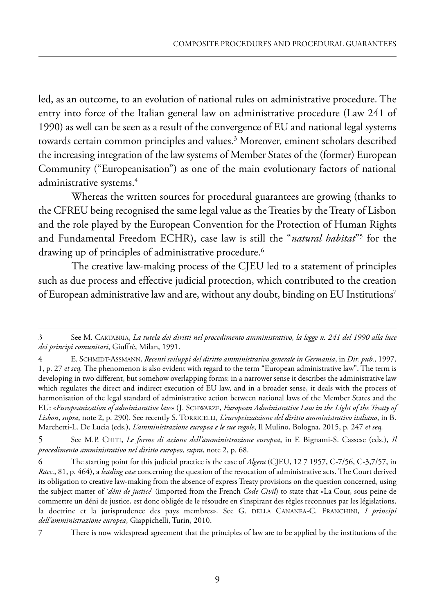led, as an outcome, to an evolution of national rules on administrative procedure. The entry into force of the Italian general law on administrative procedure (Law 241 of 1990) as well can be seen as a result of the convergence of EU and national legal systems towards certain common principles and values.<sup>3</sup> Moreover, eminent scholars described the increasing integration of the law systems of Member States of the (former) European Community ("Europeanisation") as one of the main evolutionary factors of national administrative systems.<sup>4</sup>

Whereas the written sources for procedural guarantees are growing (thanks to the CFREU being recognised the same legal value as the Treaties by the Treaty of Lisbon and the role played by the European Convention for the Protection of Human Rights and Fundamental Freedom ECHR), case law is still the "*natural habitat*"5 for the drawing up of principles of administrative procedure.<sup>6</sup>

The creative law-making process of the CJEU led to a statement of principles such as due process and effective judicial protection, which contributed to the creation of European administrative law and are, without any doubt, binding on EU Institutions7

There is now widespread agreement that the principles of law are to be applied by the institutions of the

<sup>3</sup> See M. CARTABRIA, *La tutela dei diritti nel procedimento amministrativo, la legge n. 241 del 1990 alla luce dei principi comunitari*, Giuffrè, Milan, 1991.

<sup>4</sup> E. SCHMIDT-ASSMANN, *Recenti sviluppi del diritto amministrativo generale in Germania*, in *Dir. pub.*, 1997, 1, p. 27 *et seq.* The phenomenon is also evident with regard to the term "European administrative law". The term is developing in two different, but somehow overlapping forms: in a narrower sense it describes the administrative law which regulates the direct and indirect execution of EU law, and in a broader sense, it deals with the process of harmonisation of the legal standard of administrative action between national laws of the Member States and the EU: «*Europeanization of administrative law*» (J. SCHWARZE, *European Administrative Law in the Light of the Treaty of Lisbon*, *supra*, note 2, p. 290). See recently S. TORRICELLI, *L'europeizzazione del diritto amministrativo italiano*, in B. Marchetti-L. De Lucia (eds.), *L'amministrazione europea e le sue regole*, Il Mulino, Bologna, 2015, p. 247 *et seq.*

<sup>5</sup> See M.P. CHITI, *Le forme di azione dell'amministrazione europea*, in F. Bignami-S. Cassese (eds.), *Il procedimento amministrativo nel diritto europeo*, *supra*, note 2, p. 68.

<sup>6</sup> The starting point for this judicial practice is the case of *Algera* (CJEU, 12 7 1957, C-7/56, C-3,7/57, in *Racc*., 81, p. 464), a *leading case* concerning the question of the revocation of administrative acts. The Court derived its obligation to creative law-making from the absence of express Treaty provisions on the question concerned, using the subject matter of '*déni de justice*' (imported from the French *Code Civil*) to state that «La Cour, sous peine de commettre un déni de justice, est donc obligée de le résoudre en s'inspirant des règles reconnues par les législations, la doctrine et la jurisprudence des pays membres». See G. DELLA CANANEA-C. FRANCHINI, *I principi dell'amministrazione europea*, Giappichelli, Turin, 2010.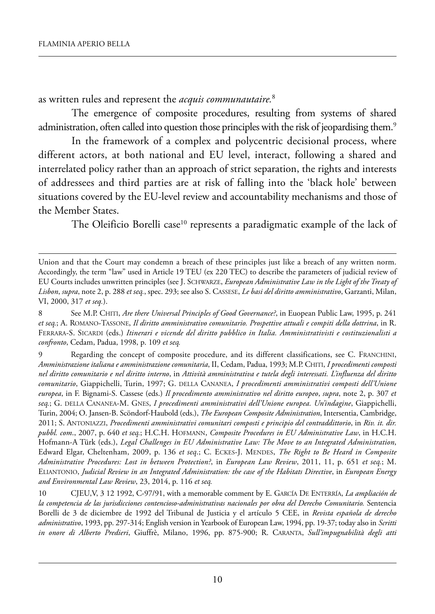as written rules and represent the *acquis communautaire.*<sup>8</sup>

The emergence of composite procedures, resulting from systems of shared administration, often called into question those principles with the risk of jeopardising them.<sup>9</sup>

In the framework of a complex and polycentric decisional process, where different actors, at both national and EU level, interact, following a shared and interrelated policy rather than an approach of strict separation, the rights and interests of addressees and third parties are at risk of falling into the 'black hole' between situations covered by the EU-level review and accountability mechanisms and those of the Member States.

The Oleificio Borelli case<sup>10</sup> represents a paradigmatic example of the lack of

Union and that the Court may condemn a breach of these principles just like a breach of any written norm. Accordingly, the term "law" used in Article 19 TEU (ex 220 TEC) to describe the parameters of judicial review of eu Courts includes unwritten principles (see J. sChwarZe, *European Administrative Law in the Light of the Treaty of Lisbon*, *supra*, note 2, p. 288 *et seq.*, spec. 293; see also s. Cassese, *Le basi del diritto amministrativo*, Garzanti, milan, Vi, 2000, 317 *et seq.*).

See M.P. CHITI, *Are there Universal Principles of Good Governance*?, in Euopean Public Law, 1995, p. 241 et seq.; A. ROMANO-TASSONE, *Il diritto amministrativo comunitario. Prospettive attuali e compiti della dottrina*, in R. ferrara-s. siCardi (eds.) *Itinerari e vicende del diritto pubblico in Italia. Amministrativisti e costituzionalisti a confronto*, Cedam, padua, 1998, p. 109 *et seq.*

<sup>9</sup> Regarding the concept of composite procedure, and its different classifications, see C. FRANCHINI, *Amministrazione italiana e amministrazione comunitaria*, ii, Cedam, padua, 1993; m.p. Chiti, *I procedimenti composti nel diritto comunitario e nel diritto interno*, in *Attività amministrativa e tutela degli interessati. L'influenza del diritto comunitario*, Giappichelli, Turin, 1997; G. DELLA CANANEA, I procedimenti amministrativi composti dell'Unione *europea*, in f. Bignami-s. Cassese (eds.) *Il procedimento amministrativo nel diritto europeo*, *supra*, note 2, p. 307 *et seq.*; G. della Cananea-m. Gnes, *I procedimenti amministrativi dell'Unione europea. Un'indagine*, Giappichelli, turin, 2004; o. Jansen-B. scöndorf-haubold (eds.), *The European Composite Administration*, intersentia, Cambridge, 2011; s. antoniaZZi, *Procedimenti amministrativi comunitari composti e principio del contraddittorio*, in *Riv. it. dir. pubbl. com*., 2007, p. 640 *et seq.*; h.C.h. hofmann, *Composite Procedures in EU Administrative Law*, in h.C.h. hofmann-a türk (eds.), *Legal Challenges in EU Administrative Law: The Move to an Integrated Administration*, Edward Elgar, Cheltenham, 2009, p. 136 *et seq.*; C. ECKES-J. MENDES, *The Right to Be Heard in Composite Administrative Procedures: Lost in between Protection?*, in *European Law Review*, 2011, 11, p. 651 *et seq.*; m. eliantonio, *Judicial Review in an Integrated Administration: the case of the Habitats Directive*, in *European Energy and Environmental Law Review*, 23, 2014, p. 116 *et seq.*

<sup>10</sup> CJeu,V, 3 12 1992, C-97/91, with a memorable comment by e. GarCía de enterría, *La ampliación de la competencia de las jurisdicciones contencioso-administrativas nacionales por obra del Derecho Comunitario.* sentencia Borelli de 3 de diciembre de 1992 del Tribunal de Justicia y el artículo 5 CEE, in *Revista española de derecho administrativo*, 1993, pp. 297-314; english version in Yearbook of european law, 1994, pp. 19-37; today also in *Scritti in onore di Alberto Predieri*, Giuffrè, milano, 1996, pp. 875-900; r. Caranta, *Sull'impugnabilità degli atti*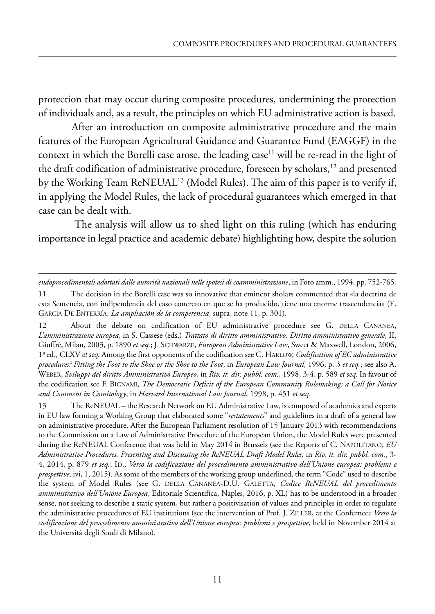protection that may occur during composite procedures, undermining the protection of individuals and, as a result, the principles on which EU administrative action is based.

After an introduction on composite administrative procedure and the main features of the European Agricultural Guidance and Guarantee Fund (EAGGF) in the context in which the Borelli case arose, the leading case<sup>11</sup> will be re-read in the light of the draft codification of administrative procedure, foreseen by scholars,<sup>12</sup> and presented by the Working Team ReNEUAL<sup>13</sup> (Model Rules). The aim of this paper is to verify if, in applying the Model Rules, the lack of procedural guarantees which emerged in that case can be dealt with.

The analysis will allow us to shed light on this ruling (which has enduring importance in legal practice and academic debate) highlighting how, despite the solution

*endoprocedimentali adottati dalle autorità nazionali nelle ipotesi di coamministrazione*, in foro amm., 1994, pp. 752-765.

<sup>11</sup> The decision in the Borelli case was so innovative that eminent sholars commented that «la doctrina de esta Sentencia, con indipendencia del caso concreto en que se ha producido, tiene una enorme trascendencia» (E. GARCÍA DE ENTERRÍA, *La ampliación de la competencia*, supra, note 11, p. 301).

<sup>12</sup> About the debate on codification of EU administrative procedure see G. DELLA CANANEA, *L'amministrazione europea*, in s. Cassese (eds.) *Trattato di diritto amministrativo, Diritto amministrativo generale*, ii, Giuffrè, Milan, 2003, p. 1890 et seq.; J. SCHWARZE, *European Administrative Law*, Sweet & Maxwell, London, 2006, 1<sup>st</sup> ed., CLXV *et seq.* Among the first opponents of the codification see C. HARLOW, *Codification of EC administrative procedures? Fitting the Foot to the Shoe or the Shoe to the Foot*, in *European Law Journal*, 1996, p. 3 *et seq.*; see also a. weBer, *Sviluppi del diritto Amministrativo Europeo*, in *Riv. it. dir. pubbl. com*., 1998, 3-4, p. 589 *et seq.* in favour of the codification see f. BiGnami, *The Democratic Deficit of the European Community Rulemaking: a Call for Notice and Comment in Comitology*, in *Harvard International Law Journal*, 1998, p. 451 *et seq.*

<sup>13</sup> The ReNEUAL – the Research Network on EU Administrative Law, is composed of academics and experts in EU law forming a Working Group that elaborated some "*restatements*" and guidelines in a draft of a general law on administrative procedure. after the european parliament resolution of 15 January 2013 with recommendations to the Commission on a Law of Administrative Procedure of the European Union, the Model Rules were presented during the ReNEUAL Conference that was held in May 2014 in Brussels (see the Reports of C. NAPOLITANO, *EU Administrative Procedures. Presenting and Discussing the ReNEUAL Draft Model Rules,* in *Riv. it. dir. pubbl. com.*, 3- 4, 2014, p. 879 *et seq.*; id., *Verso la codificazione del procedimento amministrativo dell'Unione europea: problemi e prospettive*, ivi, 1, 2015). As some of the members of the working group underlined, the term "Code" used to describe the system of Model Rules (see G. DELLA CANANEA-D.U. GALETTA, Codice ReNEUAL del procedimento *amministrativo dell'Unione Europea*, editoriale scientifica, naples, 2016, p. Xl) has to be understood in a broader sense, not seeking to describe a static system, but rather a positivisation of values and principles in order to regulate the administrative procedures of EU institutions (see the intervention of Prof. J. ZILLER, at the Confernece *Verso la codificazione del procedimento amministrativo dell'Unione europea: problemi e prospettive*, held in november 2014 at the Università degli Studi di Milano).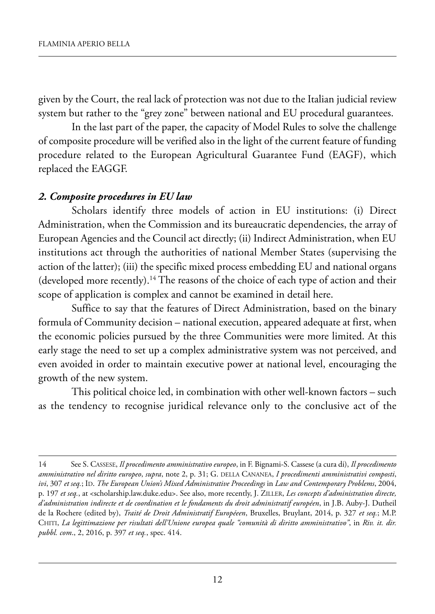given by the Court, the real lack of protection was not due to the Italian judicial review system but rather to the "grey zone" between national and EU procedural guarantees.

In the last part of the paper, the capacity of Model Rules to solve the challenge of composite procedure will be verified also in the light of the current feature of funding procedure related to the European Agricultural Guarantee Fund (EAGF), which replaced the EAGGF.

#### *2. Composite procedures in EU law*

Scholars identify three models of action in EU institutions: (i) Direct Administration, when the Commission and its bureaucratic dependencies, the array of European Agencies and the Council act directly; (ii) Indirect Administration, when EU institutions act through the authorities of national Member States (supervising the action of the latter); (iii) the specific mixed process embedding EU and national organs (developed more recently).14 The reasons of the choice of each type of action and their scope of application is complex and cannot be examined in detail here.

Suffice to say that the features of Direct Administration, based on the binary formula of Community decision – national execution, appeared adequate at first, when the economic policies pursued by the three Communities were more limited. At this early stage the need to set up a complex administrative system was not perceived, and even avoided in order to maintain executive power at national level, encouraging the growth of the new system.

This political choice led, in combination with other well-known factors – such as the tendency to recognise juridical relevance only to the conclusive act of the

<sup>14</sup> See S. CASSESE, *Il procedimento amministrativo europeo*, in F. Bignami-S. Cassese (a cura di), *Il procedimento amministrativo nel diritto europeo*, *supra*, note 2, p. 31; G. DELLA CANANEA, *I procedimenti amministrativi composti*, *ivi*, 307 *et seq.*; ID. *The European Union's Mixed Administrative Proceedings* in *Law and Contemporary Problems*, 2004, p. 197 *et seq.*, at [<scholarship.law.duke.edu>.](scholarship.law.duke.edu) See also, more recently, J. ZILLER, *Les concepts d'administration directe, d'administration indirecte et de coordination et le fondaments du droit administratif européen*, in J.B. Auby-J. Dutheil de la Rochere (edited by), *Traité de Droit Administratif Européeen*, Bruxelles, Bruylant, 2014, p. 327 *et seq.*; M.P. CHITI, *La legittimazione per risultati dell'Unione europea quale "comunità di diritto amministrativo"*, in *Riv. it. dir. pubbl. com*., 2, 2016, p. 397 *et seq.*, spec. 414.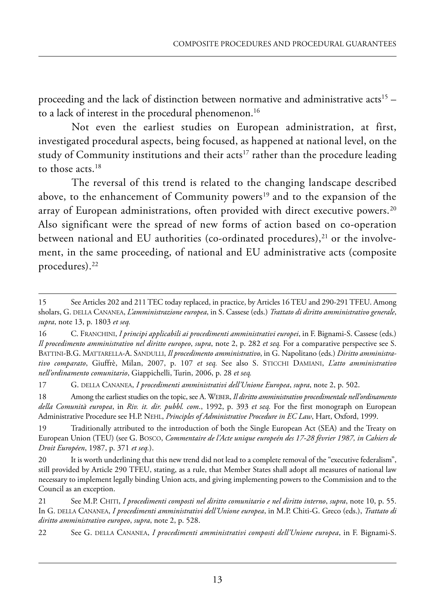proceeding and the lack of distinction between normative and administrative acts<sup>15</sup> – to a lack of interest in the procedural phenomenon.<sup>16</sup>

Not even the earliest studies on European administration, at first, investigated procedural aspects, being focused, as happened at national level, on the study of Community institutions and their acts<sup>17</sup> rather than the procedure leading to those acts.18

The reversal of this trend is related to the changing landscape described above, to the enhancement of Community powers<sup>19</sup> and to the expansion of the array of European administrations, often provided with direct executive powers.<sup>20</sup> Also significant were the spread of new forms of action based on co-operation between national and EU authorities (co-ordinated procedures), $^{21}$  or the involvement, in the same proceeding, of national and EU administrative acts (composite procedures).22

22 see g. della cananea, *I procedimenti amministrativi composti dell'Unione europea*, in F. Bignami-s.

<sup>15</sup> See Articles 202 and 211 TEC today replaced, in practice, by Articles 16 TEU and 290-291 TFEU. Among sholars, g. della cananea, *L'amministrazione europea*, in s. cassese (eds.) *Trattato di diritto amministrativo generale*, *supra*, note 13, p. 1803 *et seq.*

<sup>16</sup> c. Franchini, *I principi applicabili ai procedimenti amministrativi europei*, in F. Bignami-s. cassese (eds.) *Il procedimento amministrativo nel diritto europeo*, *supra*, note 2, p. 282 *et seq.* For a comparative perspective see s. Battini-B.g. mattarella-a. sandulli, *Il procedimento amministrativo*, in g. napolitano (eds.) *Diritto amministrativo comparato*, giuffrè, milan, 2007, p. 107 *et seq.* see also s. sticchi damiani, *L'atto amministrativo nell'ordinamento comunitario*, giappichelli, turin, 2006, p. 28 *et seq.*

<sup>17</sup> G. DELLA CANANEA, *I procedimenti amministrativi dell'Unione Europea*, *supra*, note 2, p. 502.

<sup>18</sup> among the earliest studies on the topic, see a. WeBer, *Il diritto amministrativo procedimentale nell'ordinamento della Comunità europea*, in *Riv. it. dir. pubbl. com*., 1992, p. 393 *et seq.* For the first monograph on european Administrative Procedure see H.P. NEHL, *Principles of Administrative Procedure in EC Law*, Hart, Oxford, 1999.

<sup>19</sup> Traditionally attributed to the introduction of both the Single European Act (SEA) and the Treaty on European Union (TEU) (see G. BOSCO, *Commentaire de l'Acte unique europeén des 17-28 février 1987, in Cahiers de Droit Européen*, 1987, p. 371 *et seq.*).

<sup>20</sup> It is worth underlining that this new trend did not lead to a complete removal of the "executive federalism", still provided by Article 290 TFEU, stating, as a rule, that Member States shall adopt all measures of national law necessary to implement legally binding Union acts, and giving implementing powers to the Commission and to the council as an exception.

<sup>21</sup> see m.p. chiti, *I procedimenti composti nel diritto comunitario e nel diritto interno*, *supra*, note 10, p. 55. in g. della cananea, *I procedimenti amministrativi dell'Unione europea*, in m.p. chiti-g. greco (eds.), *Trattato di diritto amministrativo europeo*, *supra*, note 2, p. 528.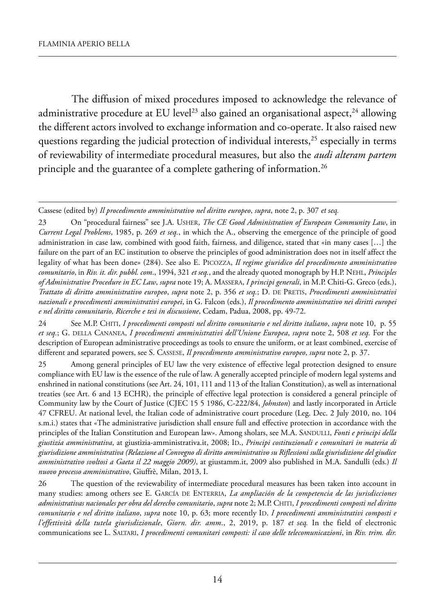The diffusion of mixed procedures imposed to acknowledge the relevance of administrative procedure at EU level<sup>23</sup> also gained an organisational aspect,<sup>24</sup> allowing the different actors involved to exchange information and co-operate. it also raised new questions regarding the judicial protection of individual interests, $25$  especially in terms of reviewability of intermediate procedural measures, but also the *audi alteram partem* principle and the guarantee of a complete gathering of information.<sup>26</sup>

Cassese (edited by) *Il procedimento amministrativo nel diritto europeo*, *supra*, note 2, p. 307 *et seq.*

23 On "procedural fairness" see J.A. USHER, *The CE Good Administration of European Community Law*, in *Current Legal Problems*, 1985, p. 269 *et seq.*, in which the a., observing the emergence of the principle of good administration in case law, combined with good faith, fairness, and diligence, stated that «in many cases […] the failure on the part of an EC institution to observe the principles of good administration does not in itself affect the legality of what has been done» (284). See also E. PICOZZA, *Il regime giuridico del procedimento amministrativo comunitario*, in *Riv. it. dir. pubbl. com*., 1994, 321 *et seq.*, and the already quoted monograph by h.p. nehl, *Principles of Administrative Procedure in EC Law*, *supra* note 19; a. massera, *I principi generali*, in m.p. Chiti-G. Greco (eds.), *Trattato di diritto amministrativo europeo*, *supra* note 2, p. 356 *et seq.*; d. de pretis, *Procedimenti amministrativi nazionali e procedimenti amministrativi europei*, in G. falcon (eds.), *Il procedimento amministrativo nei diritti europei e nel diritto comunitario, Ricerche e tesi in discussione*, Cedam, Padua, 2008, pp. 49-72.

24 see m.p. Chiti, *I procedimenti composti nel diritto comunitario e nel diritto italiano*, *supra* note 10, p. 55 *et seq.*; G. della Cananea, *I procedimenti amministrativi dell'Unione Europea*, *supra* note 2, 508 *et seq.* for the description of European administrative proceedings as tools to ensure the uniform, or at least combined, exercise of different and separated powers, see s. Cassese, *Il procedimento amministrativo europeo*, *supra* note 2, p. 37.

25 Among general principles of EU law the very existence of effective legal protection designed to ensure compliance with EU law is the essence of the rule of law. A generally accepted principle of modern legal systems and enshrined in national constitutions (see art. 24, 101, 111 and 113 of the italian Constitution), as well as international treaties (see art. 6 and 13 eChr), the principle of effective legal protection is considered a general principle of Community law by the Court of Justice (CJeC 15 5 1986, C-222/84, *Johnston*) and lastly incorporated in article 47 CFREU. At national level, the Italian code of administrative court procedure (Leg. Dec. 2 July 2010, no. 104 s.m.i.) states that «The administrative jurisdiction shall ensure full and effective protection in accordance with the principles of the Italian Constitution and European law». Among sholars, see M.A. SANDULLI, *Fonti e principi della giustizia amministrativa*, at giustizia-amministrativa.it, 2008; id., *Principi costituzionali e comunitari in materia di giurisdizione amministrativa (Relazione al Convegno di diritto amministrativo su Riflessioni sulla giurisdizione del giudice* amministrativo svoltosi a Gaeta il 22 maggio 2009), at giustamm.it, 2009 also published in M.A. Sandulli (eds.) Il *nuovo processo amministrativo*, Giuffrè, milan, 2013, i.

26 the question of the reviewability of intermediate procedural measures has been taken into account in many studies: among others see E. GARCÍA DE ENTERRIA, *La ampliación de la competencia de las jurisdicciones administrativas nacionales per obra del derecho comunitario*, *supra* note 2; m.p. Chiti, *I procedimenti composti nel diritto comunitario e nel diritto italiano, supra* note 10, p. 63; more recently ID. *I procedimenti amministrativi composti e l'effettività della tutela giurisdizionale*, *Giorn. dir. amm*., 2, 2019, p. 187 *et seq.* in the field of electronic communications see l. saltari, *I procedimenti comunitari composti: il caso delle telecomunicazioni*, in *Riv. trim. dir.*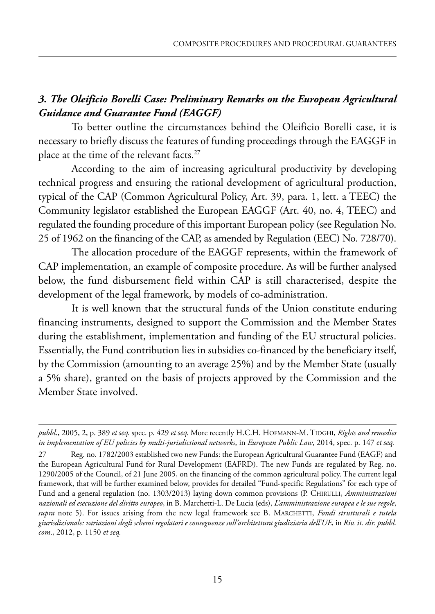# *3. The Oleificio Borelli Case: Preliminary Remarks on the European Agricultural Guidance and Guarantee Fund (EAGGF)*

To better outline the circumstances behind the Oleificio Borelli case, it is necessary to briefly discuss the features of funding proceedings through the EAGGF in place at the time of the relevant facts.<sup>27</sup>

according to the aim of increasing agricultural productivity by developing technical progress and ensuring the rational development of agricultural production, typical of the CAP (Common Agricultural Policy, Art. 39, para. 1, lett. a TEEC) the Community legislator established the European EAGGF (Art. 40, no. 4, TEEC) and regulated the founding procedure of this important European policy (see Regulation No. 25 of 1962 on the financing of the CAP, as amended by Regulation (EEC) No. 728/70).

The allocation procedure of the EAGGF represents, within the framework of CAP implementation, an example of composite procedure. As will be further analysed below, the fund disbursement field within CAP is still characterised, despite the development of the legal framework, by models of co-administration.

It is well known that the structural funds of the Union constitute enduring financing instruments, designed to support the Commission and the Member States during the establishment, implementation and funding of the EU structural policies. Essentially, the Fund contribution lies in subsidies co-financed by the beneficiary itself, by the Commission (amounting to an average 25%) and by the Member State (usually a 5% share), granted on the basis of projects approved by the Commission and the Member State involved.

*pubbl*., 2005, 2, p. 389 *et seq.* spec. p. 429 *et seq.* more recently h.C.h. hofmann-m. tidGhi, *Rights and remedies in implementation of EU policies by multi-jurisdictional networks*, in *European Public Law*, 2014, spec. p. 147 *et seq.*

<sup>27</sup> Reg. no. 1782/2003 established two new Funds: the European Agricultural Guarantee Fund (EAGF) and the European Agricultural Fund for Rural Development (EAFRD). The new Funds are regulated by Reg. no. 1290/2005 of the Council, of 21 June 2005, on the financing of the common agricultural policy. the current legal framework, that will be further examined below, provides for detailed "Fund-specific Regulations" for each type of fund and a general regulation (no. 1303/2013) laying down common provisions (p. Chirulli, *Amministrazioni nazionali ed esecuzione del diritto europeo*, in B. marchetti-l. de lucia (eds), *L'amministrazione europea e le sue regole*, *supra* note 5). For issues arising from the new legal framework see B. MARCHETTI, *Fondi strutturali e tutela giurisdizionale: variazioni degli schemi regolatori e conseguenze sull'architettura giudiziaria dell'UE*, in *Riv. it. dir. pubbl. com*., 2012, p. 1150 *et seq.*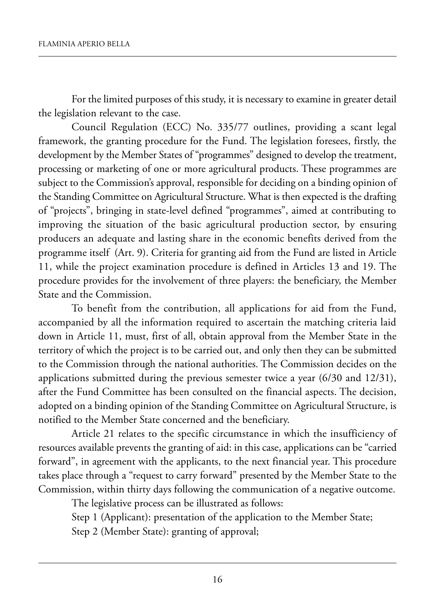for the limited purposes of this study, it is necessary to examine in greater detail the legislation relevant to the case.

Council Regulation (ECC) No. 335/77 outlines, providing a scant legal framework, the granting procedure for the fund. the legislation foresees, firstly, the development by the Member States of "programmes" designed to develop the treatment, processing or marketing of one or more agricultural products. These programmes are subject to the Commission's approval, responsible for deciding on a binding opinion of the Standing Committee on Agricultural Structure. What is then expected is the drafting of "projects", bringing in state-level defined "programmes", aimed at contributing to improving the situation of the basic agricultural production sector, by ensuring producers an adequate and lasting share in the economic benefits derived from the programme itself (Art. 9). Criteria for granting aid from the Fund are listed in Article 11, while the project examination procedure is defined in Articles 13 and 19. The procedure provides for the involvement of three players: the beneficiary, the Member state and the Commission.

To benefit from the contribution, all applications for aid from the Fund, accompanied by all the information required to ascertain the matching criteria laid down in Article 11, must, first of all, obtain approval from the Member State in the territory of which the project is to be carried out, and only then they can be submitted to the Commission through the national authorities. The Commission decides on the applications submitted during the previous semester twice a year (6/30 and 12/31), after the Fund Committee has been consulted on the financial aspects. The decision, adopted on a binding opinion of the Standing Committee on Agricultural Structure, is notified to the Member State concerned and the beneficiary.

Article 21 relates to the specific circumstance in which the insufficiency of resources available prevents the granting of aid: in this case, applications can be "carried forward", in agreement with the applicants, to the next financial year. This procedure takes place through a "request to carry forward" presented by the Member State to the Commission, within thirty days following the communication of a negative outcome.

The legislative process can be illustrated as follows:

Step 1 (Applicant): presentation of the application to the Member State; Step 2 (Member State): granting of approval;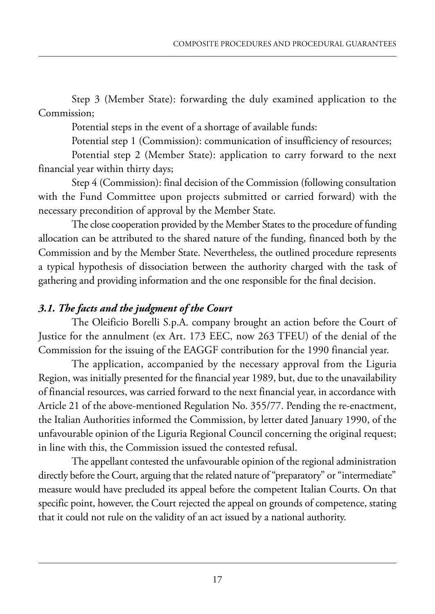Step 3 (Member State): forwarding the duly examined application to the Commission;

potential steps in the event of a shortage of available funds:

Potential step 1 (Commission): communication of insufficiency of resources;

Potential step 2 (Member State): application to carry forward to the next financial year within thirty days;

step 4 (Commission): final decision of the Commission (following consultation with the fund Committee upon projects submitted or carried forward) with the necessary precondition of approval by the Member State.

The close cooperation provided by the Member States to the procedure of funding allocation can be attributed to the shared nature of the funding, financed both by the Commission and by the Member State. Nevertheless, the outlined procedure represents a typical hypothesis of dissociation between the authority charged with the task of gathering and providing information and the one responsible for the final decision.

## *3.1. The facts and the judgment of the Court*

The Oleificio Borelli S.p.A. company brought an action before the Court of Justice for the annulment (ex Art. 173 EEC, now 263 TFEU) of the denial of the Commission for the issuing of the eaGGf contribution for the 1990 financial year.

The application, accompanied by the necessary approval from the Liguria Region, was initially presented for the financial year 1989, but, due to the unavailability of financial resources, was carried forward to the next financial year, in accordance with Article 21 of the above-mentioned Regulation No. 355/77. Pending the re-enactment, the Italian Authorities informed the Commission, by letter dated January 1990, of the unfavourable opinion of the Liguria Regional Council concerning the original request; in line with this, the Commission issued the contested refusal.

The appellant contested the unfavourable opinion of the regional administration directly before the Court, arguing that the related nature of "preparatory" or "intermediate" measure would have precluded its appeal before the competent Italian Courts. On that specific point, however, the Court rejected the appeal on grounds of competence, stating that it could not rule on the validity of an act issued by a national authority.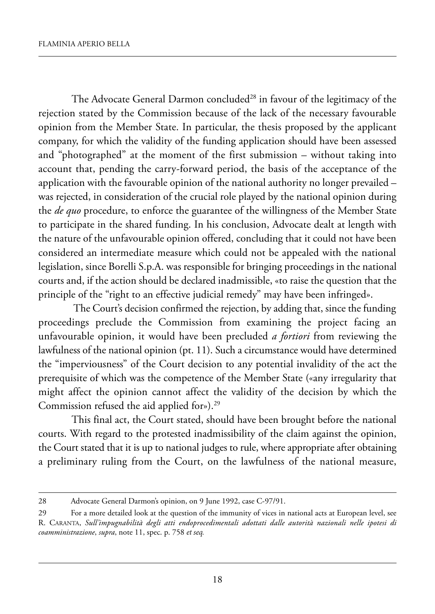The Advocate General Darmon concluded<sup>28</sup> in favour of the legitimacy of the rejection stated by the Commission because of the lack of the necessary favourable opinion from the Member State. In particular, the thesis proposed by the applicant company, for which the validity of the funding application should have been assessed and "photographed" at the moment of the first submission – without taking into account that, pending the carry-forward period, the basis of the acceptance of the application with the favourable opinion of the national authority no longer prevailed – was rejected, in consideration of the crucial role played by the national opinion during the *de quo* procedure, to enforce the guarantee of the willingness of the Member State to participate in the shared funding. In his conclusion, Advocate dealt at length with the nature of the unfavourable opinion offered, concluding that it could not have been considered an intermediate measure which could not be appealed with the national legislation, since Borelli S.p.A. was responsible for bringing proceedings in the national courts and, if the action should be declared inadmissible, «to raise the question that the principle of the "right to an effective judicial remedy" may have been infringed».

The Court's decision confirmed the rejection, by adding that, since the funding proceedings preclude the Commission from examining the project facing an unfavourable opinion, it would have been precluded *a fortiori* from reviewing the lawfulness of the national opinion (pt. 11). Such a circumstance would have determined the "imperviousness" of the Court decision to any potential invalidity of the act the prerequisite of which was the competence of the Member State («any irregularity that might affect the opinion cannot affect the validity of the decision by which the Commission refused the aid applied for»).<sup>29</sup>

This final act, the Court stated, should have been brought before the national courts. with regard to the protested inadmissibility of the claim against the opinion, the Court stated that it is up to national judges to rule, where appropriate after obtaining a preliminary ruling from the Court, on the lawfulness of the national measure,

<sup>28</sup> Advocate General Darmon's opinion, on 9 June 1992, case C-97/91.

<sup>29</sup> For a more detailed look at the question of the immunity of vices in national acts at European level, see r. Caranta, *Sull'impugnabilità degli atti endoprocedimentali adottati dalle autorità nazionali nelle ipotesi di coamministrazione*, *supra*, note 11, spec. p. 758 *et seq.*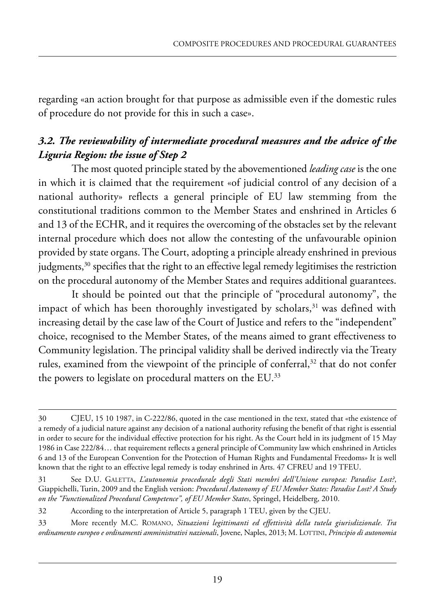regarding «an action brought for that purpose as admissible even if the domestic rules of procedure do not provide for this in such a case».

# *3.2. The reviewability of intermediate procedural measures and the advice of the Liguria Region: the issue of Step 2*

the most quoted principle stated by the abovementioned *leading case* is the one in which it is claimed that the requirement «of judicial control of any decision of a national authority» reflects a general principle of EU law stemming from the constitutional traditions common to the Member States and enshrined in Articles 6 and 13 of the ECHR, and it requires the overcoming of the obstacles set by the relevant internal procedure which does not allow the contesting of the unfavourable opinion provided by state organs. The Court, adopting a principle already enshrined in previous judgments,<sup>30</sup> specifies that the right to an effective legal remedy legitimises the restriction on the procedural autonomy of the Member States and requires additional guarantees.

It should be pointed out that the principle of "procedural autonomy", the impact of which has been thoroughly investigated by scholars,<sup>31</sup> was defined with increasing detail by the case law of the Court of Justice and refers to the "independent" choice, recognised to the Member States, of the means aimed to grant effectiveness to Community legislation. The principal validity shall be derived indirectly via the Treaty rules, examined from the viewpoint of the principle of conferral,<sup>32</sup> that do not confer the powers to legislate on procedural matters on the EU. $33$ 

<sup>30</sup> CJeu, 15 10 1987, in C-222/86, quoted in the case mentioned in the text, stated that «the existence of a remedy of a judicial nature against any decision of a national authority refusing the benefit of that right is essential in order to secure for the individual effective protection for his right. As the Court held in its judgment of 15 May 1986 in Case 222/84... that requirement reflects a general principle of Community law which enshrined in Articles 6 and 13 of the european Convention for the protection of human rights and fundamental freedoms» it is well known that the right to an effective legal remedy is today enshrined in Arts. 47 CFREU and 19 TFEU.

<sup>31</sup> see d.u. Galetta, *L'autonomia procedurale degli Stati membri dell'Unione europea: Paradise Lost?*, Giappichelli, turin, 2009 and the english version: *Procedural Autonomy of EU Member States: Paradise Lost? A Study on the "Functionalized Procedural Competence", of EU Member States*, springel, heidelberg, 2010.

<sup>32</sup> According to the interpretation of Article 5, paragraph 1 TEU, given by the CJEU.

<sup>33</sup> more recently m.C. romano, *Situazioni legittimanti ed effettività della tutela giurisdizionale. Tra ordinamento europeo e ordinamenti amministrativi nazionali*, Jovene, naples, 2013; m. lottini, *Principio di autonomia*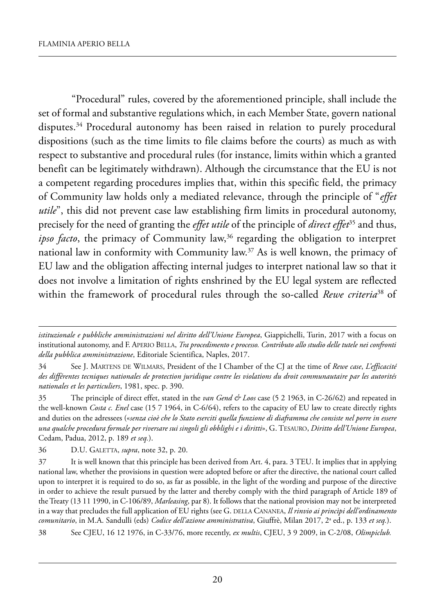"procedural" rules, covered by the aforementioned principle, shall include the set of formal and substantive regulations which, in each Member State, govern national disputes.<sup>34</sup> Procedural autonomy has been raised in relation to purely procedural dispositions (such as the time limits to file claims before the courts) as much as with respect to substantive and procedural rules (for instance, limits within which a granted benefit can be legitimately withdrawn). Although the circumstance that the EU is not a competent regarding procedures implies that, within this specific field, the primacy of Community law holds only a mediated relevance, through the principle of "*effet utile*", this did not prevent case law establishing firm limits in procedural autonomy, precisely for the need of granting the *effet utile* of the principle of *direct effet*<sup>35</sup> and thus, *ipso facto*, the primacy of Community law,<sup>36</sup> regarding the obligation to interpret national law in conformity with Community law.<sup>37</sup> As is well known, the primacy of EU law and the obligation affecting internal judges to interpret national law so that it does not involve a limitation of rights enshrined by the EU legal system are reflected within the framework of procedural rules through the so-called *Rewe criteria*<sup>38</sup> of

*istituzionale e pubbliche amministrazioni nel diritto dell'Unione Europea*, Giappichelli, turin, 2017 with a focus on institutional autonomy, and f. aperio Bella, *Tra procedimento e processo. Contributo allo studio delle tutele nei confronti della pubblica amministrazione*, editoriale scientifica, naples, 2017.

<sup>34</sup> see J. martens de wilmars, president of the i Chamber of the CJ at the time of *Rewe case*, *L'efficacité des différentes tecniques nationales de protection juridique contre les violations du droit communautaire par les autorités nationales et les particuliers*, 1981, spec. p. 390.

<sup>35</sup> the principle of direct effet, stated in the *van Gend & Loos* case (5 2 1963, in C-26/62) and repeated in the well-known *Costa c. Enel* case (15 7 1964, in C-6/64), refers to the capacity of EU law to create directly rights and duties on the adressees («*senza cioè che lo Stato eserciti quella funzione di diaframma che consiste nel porre in essere una qualche procedura formale per riversare sui singoli gli obblighi e i diritti*», G. tesauro, *Diritto dell'Unione Europea*, Cedam, padua, 2012, p. 189 *et seq.*).

<sup>36</sup> D.U. GALETTA, *supra*, note 32, p. 20.

<sup>37</sup> It is well known that this principle has been derived from Art. 4, para. 3 TEU. It implies that in applying national law, whether the provisions in question were adopted before or after the directive, the national court called upon to interpret it is required to do so, as far as possible, in the light of the wording and purpose of the directive in order to achieve the result pursued by the latter and thereby comply with the third paragraph of Article 189 of the treaty (13 11 1990, in C-106/89, *Marleasing*, par 8). it follows that the national provision may not be interpreted in a way that precludes the full application of EU rights (see G. DELLA CANANEA, *Il rinvio ai princìpi dell'ordinamento comunitario*, in m.a. sandulli (eds) *Codice dell'azione amministrativa*, Giuffrè, milan 2017, 2a ed., p. 133 *et seq.*).

<sup>38</sup> see CJeu, 16 12 1976, in C-33/76, more recently, *ex multis*, CJeu, 3 9 2009, in C-2/08, *Olimpiclub.*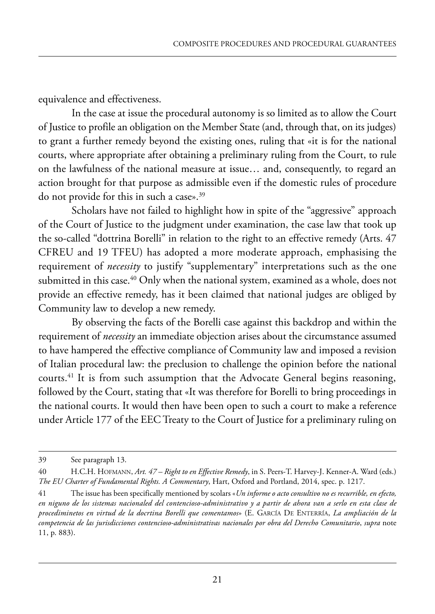equivalence and effectiveness.

In the case at issue the procedural autonomy is so limited as to allow the Court of Justice to profile an obligation on the member state (and, through that, on its judges) to grant a further remedy beyond the existing ones, ruling that «it is for the national courts, where appropriate after obtaining a preliminary ruling from the Court, to rule on the lawfulness of the national measure at issue… and, consequently, to regard an action brought for that purpose as admissible even if the domestic rules of procedure do not provide for this in such a case».<sup>39</sup>

scholars have not failed to highlight how in spite of the "aggressive" approach of the Court of Justice to the judgment under examination, the case law that took up the so-called "dottrina Borelli" in relation to the right to an effective remedy (Arts. 47 CFREU and 19 TFEU) has adopted a more moderate approach, emphasising the requirement of *necessity* to justify "supplementary" interpretations such as the one submitted in this case.<sup>40</sup> Only when the national system, examined as a whole, does not provide an effective remedy, has it been claimed that national judges are obliged by Community law to develop a new remedy.

By observing the facts of the Borelli case against this backdrop and within the requirement of *necessity* an immediate objection arises about the circumstance assumed to have hampered the effective compliance of Community law and imposed a revision of italian procedural law: the preclusion to challenge the opinion before the national courts.<sup>41</sup> It is from such assumption that the Advocate General begins reasoning, followed by the Court, stating that «It was therefore for Borelli to bring proceedings in the national courts. it would then have been open to such a court to make a reference under Article 177 of the EEC Treaty to the Court of Justice for a preliminary ruling on

<sup>39</sup> see paragraph 13.

<sup>40</sup> h.C.h. hofmann, *Art. 47 – Right to en Effective Remedy*, in s. peers-t. harvey-J. kenner-a. ward (eds.) *The EU Charter of Fundamental Rights. A Commentary*, hart, oxford and portland, 2014, spec. p. 1217.

<sup>41</sup> the issue has been specifically mentioned by scolars «*Un informe o acto consultivo no es recurrible, en efecto, en niguno de los sistemas nacionaled del contencioso-administrativo y a partir de ahora van a serlo en esta clase de procediminetos en virtud de la docrtina Borelli que comentamos»* (E. GARCÍA DE ENTERRÍA, La ampliación de la *competencia de las jurisdicciones contencioso-administrativas nacionales por obra del Derecho Comunitario*, *supra* note 11, p. 883).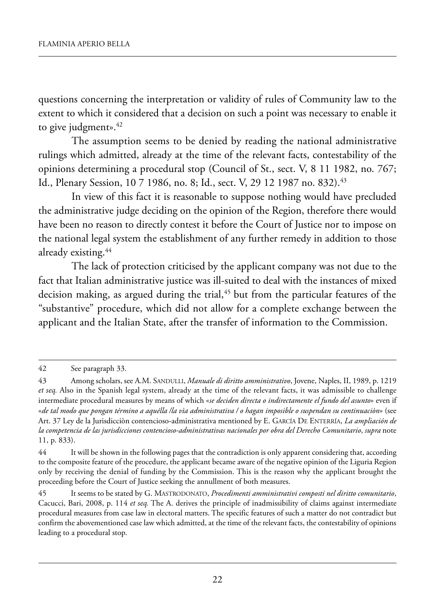questions concerning the interpretation or validity of rules of Community law to the extent to which it considered that a decision on such a point was necessary to enable it to give judgment».<sup>42</sup>

The assumption seems to be denied by reading the national administrative rulings which admitted, already at the time of the relevant facts, contestability of the opinions determining a procedural stop (Council of st., sect. V, 8 11 1982, no. 767; Id., Plenary Session, 10 7 1986, no. 8; Id., sect. V, 29 12 1987 no. 832).<sup>43</sup>

In view of this fact it is reasonable to suppose nothing would have precluded the administrative judge deciding on the opinion of the Region, therefore there would have been no reason to directly contest it before the Court of Justice nor to impose on the national legal system the establishment of any further remedy in addition to those already existing.44

The lack of protection criticised by the applicant company was not due to the fact that Italian administrative justice was ill-suited to deal with the instances of mixed decision making, as argued during the trial, $45$  but from the particular features of the "substantive" procedure, which did not allow for a complete exchange between the applicant and the Italian State, after the transfer of information to the Commission.

<sup>42</sup> See paragraph 33.

<sup>43</sup> Among scholars, see A.M. SANDULLI, *Manuale di diritto amministrativo*, Jovene, Naples, II, 1989, p. 1219 *et seq.* also in the spanish legal system, already at the time of the relevant facts, it was admissible to challenge intermediate procedural measures by means of which «*se deciden directa o indirectamente el fundo del asunto*» even if «*de tal modo que pongan término a aquélla /la vìa administrativa / o hagan imposible o suspendan su continuaciòn*» (see Art. 37 Ley de la Jurisdicciòn contencioso-administrativa mentioned by E. GARCÍA DE ENTERRÍA, *La ampliación de la competencia de las jurisdicciones contencioso-administrativas nacionales por obra del Derecho Comunitario*, *supra* note 11, p. 833).

<sup>44</sup> it will be shown in the following pages that the contradiction is only apparent considering that, according to the composite feature of the procedure, the applicant became aware of the negative opinion of the Liguria Region only by receiving the denial of funding by the Commission. this is the reason why the applicant brought the proceeding before the Court of Justice seeking the annullment of both measures.

<sup>45</sup> it seems to be stated by G. mastrodonato, *Procedimenti amministrativi composti nel diritto comunitario*, Cacucci, Bari, 2008, p. 114 *et seq*. The A. derives the principle of inadmissibility of claims against intermediate procedural measures from case law in electoral matters. the specific features of such a matter do not contradict but confirm the abovementioned case law which admitted, at the time of the relevant facts, the contestability of opinions leading to a procedural stop.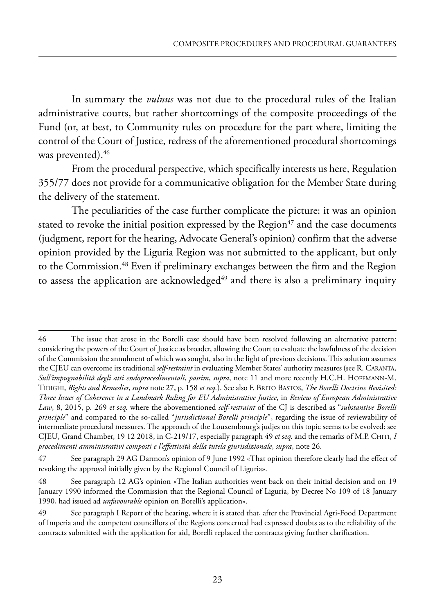In summary the *vulnus* was not due to the procedural rules of the Italian administrative courts, but rather shortcomings of the composite proceedings of the fund (or, at best, to Community rules on procedure for the part where, limiting the control of the Court of Justice, redress of the aforementioned procedural shortcomings was prevented).<sup>46</sup>

From the procedural perspective, which specifically interests us here, Regulation 355/77 does not provide for a communicative obligation for the member state during the delivery of the statement.

The peculiarities of the case further complicate the picture: it was an opinion stated to revoke the initial position expressed by the Region $47$  and the case documents (judgment, report for the hearing, Advocate General's opinion) confirm that the adverse opinion provided by the Liguria Region was not submitted to the applicant, but only to the Commission.<sup>48</sup> Even if preliminary exchanges between the firm and the Region to assess the application are acknowledged<sup>49</sup> and there is also a preliminary inquiry

<sup>46</sup> the issue that arose in the Borelli case should have been resolved following an alternative pattern: considering the powers of the Court of Justice as broader, allowing the Court to evaluate the lawfulness of the decision of the Commission the annulment of which was sought, also in the light of previous decisions. this solution assumes the CJEU can overcome its traditional *self-restraint* in evaluating Member States' authority measures (see R. CARANTA, *Sull'impugnabilità degli atti endoprocedimentali*, *passim*, *supra*, note 11 and more recently h.C.h. hoffmann-m. tidiGhi, *Rights and Remedies*, *supra* note 27, p. 158 *et seq.*). see also f. Brito Bastos, *The Borelli Doctrine Revisited: Three Issues of Coherence in a Landmark Ruling for EU Administrative Justice*, in *Review of European Administrative Law*, 8, 2015, p. 269 *et seq.* where the abovementioned *self-restraint* of the CJ is described as "*substantive Borelli principle*" and compared to the so-called "*jurisdictional Borelli principle*", regarding the issue of reviewability of intermediate procedural measures. the approach of the louxembourg's judjes on this topic seems to be evolved: see CJeu, Grand Chamber, 19 12 2018, in C-219/17, especially paragraph 49 *et seq.* and the remarks of m.p. Chiti, *I procedimenti amministrativi composti e l'effettività della tutela giurisdizionale*, *supra*, note 26.

<sup>47</sup> See paragraph 29 AG Darmon's opinion of 9 June 1992 «That opinion therefore clearly had the effect of revoking the approval initially given by the Regional Council of Liguria».

<sup>48</sup> See paragraph 12 AG's opinion «The Italian authorities went back on their initial decision and on 19 January 1990 informed the Commission that the Regional Council of Liguria, by Decree No 109 of 18 January 1990, had issued ad *unfavourable* opinion on Borelli's application».

<sup>49</sup> See paragraph I Report of the hearing, where it is stated that, after the Provincial Agri-Food Department of imperia and the competent councillors of the regions concerned had expressed doubts as to the reliability of the contracts submitted with the application for aid, Borelli replaced the contracts giving further clarification.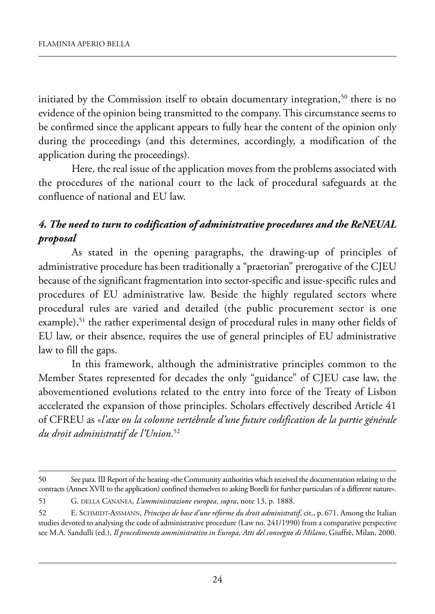initiated by the Commission itself to obtain documentary integration, $50$  there is no evidence of the opinion being transmitted to the company. This circumstance seems to be confirmed since the applicant appears to fully hear the content of the opinion only during the proceedings (and this determines, accordingly, a modification of the application during the proceedings).

here, the real issue of the application moves from the problems associated with the procedures of the national court to the lack of procedural safeguards at the confluence of national and EU law.

# *4. The need to turn to codification of administrative procedures and the ReNEUAL proposal*

As stated in the opening paragraphs, the drawing-up of principles of administrative procedure has been traditionally a "praetorian" prerogative of the CJEU because of the significant fragmentation into sector-specific and issue-specific rules and procedures of EU administrative law. Beside the highly regulated sectors where procedural rules are varied and detailed (the public procurement sector is one example),<sup>51</sup> the rather experimental design of procedural rules in many other fields of EU law, or their absence, requires the use of general principles of EU administrative law to fill the gaps.

In this framework, although the administrative principles common to the Member States represented for decades the only "guidance" of CJEU case law, the abovementioned evolutions related to the entry into force of the Treaty of Lisbon accelerated the expansion of those principles. Scholars effectively described Article 41 of CFREU as «*l'axe ou la colonne vertébrale d'une future codification de la partie générale du droit administratif de l'Union*. 52

<sup>50</sup> See para. III Report of the hearing «the Community authorities which received the documentation relating to the contracts (annex XVii to the application) confined themselves to asking Borelli for further particulars of a different nature».

<sup>51</sup> G. della Cananea, *L'amministrazione europea*, *supra*, note 13, p. 1888.

<sup>52</sup> E. SCHMIDT-ASSMANN, *Principes de base d'une réforme du droit administratif*, cit., p. 671. Among the Italian studies devoted to analysing the code of administrative procedure (law no. 241/1990) from a comparative perspective see M.A. Sandulli (ed.), *Il procedimento amministrativo in Europa, Atti del convegno di Milano*, Giuffrè, Milan, 2000.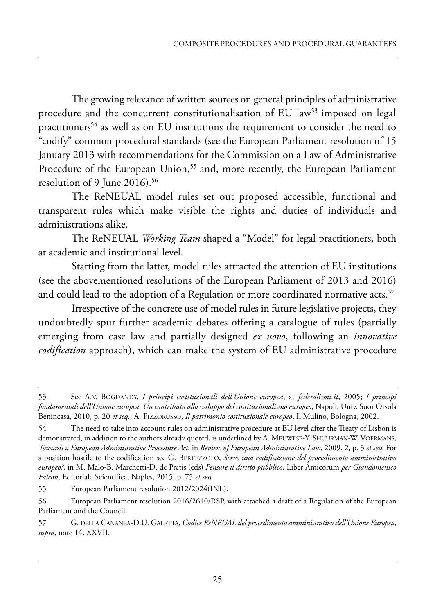The growing relevance of written sources on general principles of administrative procedure and the concurrent constitutionalisation of EU law<sup>53</sup> imposed on legal practitioners<sup>54</sup> as well as on EU institutions the requirement to consider the need to "codify" common procedural standards (see the European Parliament resolution of 15 January 2013 with recommendations for the Commission on a Law of Administrative Procedure of the European Union,<sup>55</sup> and, more recently, the European Parliament resolution of 9 June 2016).<sup>56</sup>

The ReNEUAL model rules set out proposed accessible, functional and transparent rules which make visible the rights and duties of individuals and administrations alike.

The ReNEUAL *Working Team* shaped a "Model" for legal practitioners, both at academic and institutional level.

Starting from the latter, model rules attracted the attention of EU institutions (see the abovementioned resolutions of the european parliament of 2013 and 2016) and could lead to the adoption of a Regulation or more coordinated normative acts.<sup>57</sup>

Irrespective of the concrete use of model rules in future legislative projects, they undoubtedly spur further academic debates offering a catalogue of rules (partially emerging from case law and partially designed *ex novo*, following an *innovative codification* approach), which can make the system of EU administrative procedure

<sup>53</sup> see a.V. BoGdandY, *I principi costituzionali dell'Unione europea*, at *federalismi.it*, 2005; *I principi fondamentali dell'Unione europea. Un contributo allo sviluppo del costituzionalismo europeo*, napoli, univ. suor orsola Benincasa, 2010, p. 20 *et seq.*; A. PIZZORUSSO, *Il patrimonio costituzionale europeo*, Il Mulino, Bologna, 2002.

<sup>54</sup> The need to take into account rules on administrative procedure at EU level after the Treaty of Lisbon is demonstrated, in addition to the authors already quoted, is underlined by A. MEUWESE-Y. SHUURMAN-W. VOERMANS, *Towards a European Administrative Procedure Act*, in *Review of European Administrative Law*, 2009, 2, p. 3 *et seq.* for a position hostile to the codification see G. BerteZZolo, *Serve una codificazione del procedimento amministrativo europeo?*, in m. malo-B. marchetti-d. de pretis (eds) *Pensare il diritto pubblico,* liber amicorum *per Giandomenico Falcon*, Editoriale Scientifica, Naples, 2015, p. 75 et seq.

<sup>55</sup> European Parliament resolution 2012/2024(INL).

<sup>56</sup> European Parliament resolution 2016/2610/RSP, with attached a draft of a Regulation of the European parliament and the Council.

<sup>57</sup> G. della Cananea-d.u. Galetta, *Codice ReNEUAL del procedimento amministrativo dell'Unione Europea*, *supra*, note 14, XXVii.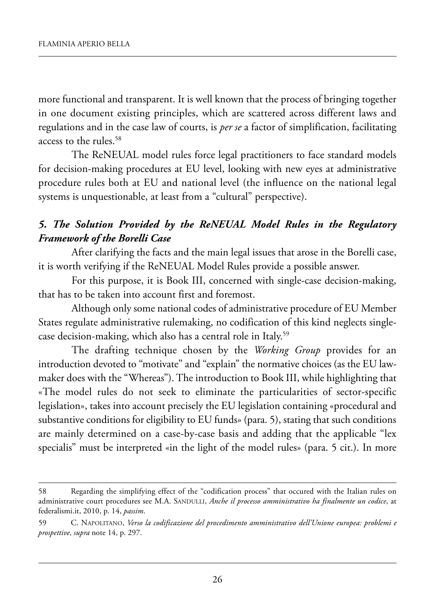more functional and transparent. it is well known that the process of bringing together in one document existing principles, which are scattered across different laws and regulations and in the case law of courts, is *per se* a factor of simplification, facilitating access to the rules.<sup>58</sup>

The ReNEUAL model rules force legal practitioners to face standard models for decision-making procedures at EU level, looking with new eyes at administrative procedure rules both at EU and national level (the influence on the national legal systems is unquestionable, at least from a "cultural" perspective).

## *5. The Solution Provided by the ReNEUAL Model Rules in the Regulatory Framework of the Borelli Case*

after clarifying the facts and the main legal issues that arose in the Borelli case, it is worth verifying if the ReNEUAL Model Rules provide a possible answer.

For this purpose, it is Book III, concerned with single-case decision-making, that has to be taken into account first and foremost.

Although only some national codes of administrative procedure of EU Member states regulate administrative rulemaking, no codification of this kind neglects singlecase decision-making, which also has a central role in Italy.<sup>59</sup>

The drafting technique chosen by the *Working Group* provides for an introduction devoted to "motivate" and "explain" the normative choices (as the EU lawmaker does with the "Whereas"). The introduction to Book III, while highlighting that «The model rules do not seek to eliminate the particularities of sector-specific legislation», takes into account precisely the EU legislation containing «procedural and substantive conditions for eligibility to EU funds» (para. 5), stating that such conditions are mainly determined on a case-by-case basis and adding that the applicable "lex specialis" must be interpreted «in the light of the model rules» (para. 5 cit.). In more

<sup>58</sup> Regarding the simplifying effect of the "codification process" that occured with the Italian rules on administrative court procedures see M.A. SANDULLI, *Anche il processo amministrativo ha finalmente un codice*, at federalismi.it, 2010, p. 14, *passim*.

<sup>59</sup> C. napolitano, *Verso la codificazione del procedimento amministrativo dell'Unione europea: problemi e prospettive*, *supra* note 14, p. 297.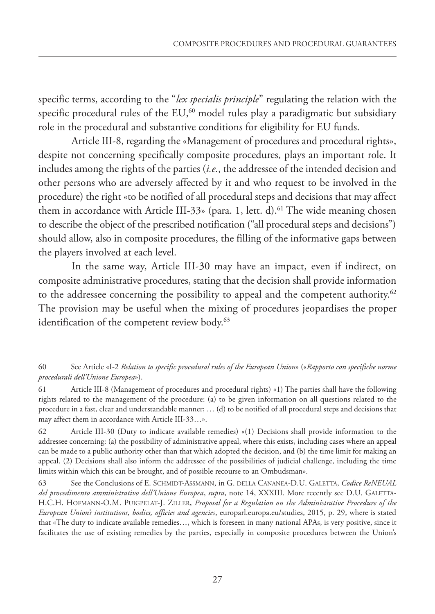specific terms, according to the "*lex specialis principle*" regulating the relation with the specific procedural rules of the  $EU$ ,<sup>60</sup> model rules play a paradigmatic but subsidiary role in the procedural and substantive conditions for eligibility for EU funds.

Article III-8, regarding the «Management of procedures and procedural rights», despite not concerning specifically composite procedures, plays an important role. It includes among the rights of the parties (*i.e.*, the addressee of the intended decision and other persons who are adversely affected by it and who request to be involved in the procedure) the right «to be notified of all procedural steps and decisions that may affect them in accordance with Article III-33» (para. 1, lett. d).<sup>61</sup> The wide meaning chosen to describe the object of the prescribed notification ("all procedural steps and decisions") should allow, also in composite procedures, the filling of the informative gaps between the players involved at each level.

In the same way, Article III-30 may have an impact, even if indirect, on composite administrative procedures, stating that the decision shall provide information to the addressee concerning the possibility to appeal and the competent authority.<sup>62</sup> The provision may be useful when the mixing of procedures jeopardises the proper identification of the competent review body.<sup>63</sup>

<sup>60</sup> See Article «I-2 *Relation to specific procedural rules of the European Union*» («*Rapporto con specifiche norme procedurali dell'Unione Europea*»).

<sup>61</sup> Article III-8 (Management of procedures and procedural rights) «1) The parties shall have the following rights related to the management of the procedure: (a) to be given information on all questions related to the procedure in a fast, clear and understandable manner; … (d) to be notified of all procedural steps and decisions that may affect them in accordance with Article III-33…».

<sup>62</sup> Article III-30 (Duty to indicate available remedies) «(1) Decisions shall provide information to the addressee concerning: (a) the possibility of administrative appeal, where this exists, including cases where an appeal can be made to a public authority other than that which adopted the decision, and (b) the time limit for making an appeal. (2) Decisions shall also inform the addressee of the possibilities of judicial challenge, including the time limits within which this can be brought, and of possible recourse to an Ombudsman».

<sup>63</sup> See the Conclusions of E. SCHMIDT-ASSMANN, in G. DELLA CANANEA-D.U. GALETTA, *Codice ReNEUAL del procedimento amministrativo dell'Unione Europea*, *supra*, note 14, XXXIII. More recently see D.U. GALETTA-H.C.H. HOFMANN-O.M. PUIGPELAT-J. ZILLER, *Proposal for a Regulation on the Administrative Procedure of the European Union's institutions, bodies, officies and agencies*, europarl.europa.eu/studies, 2015, p. 29, where is stated that «The duty to indicate available remedies…, which is foreseen in many national APAs, is very positive, since it facilitates the use of existing remedies by the parties, especially in composite procedures between the Union's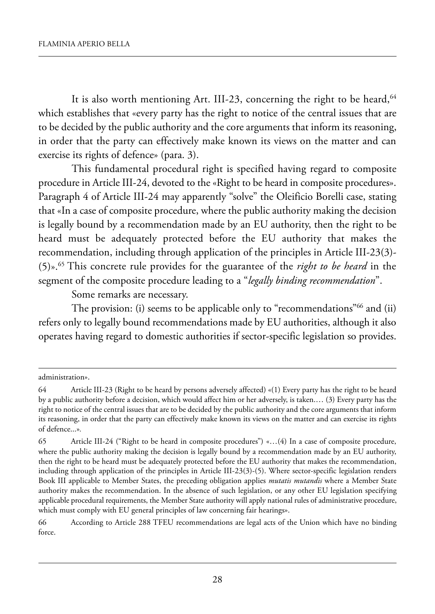It is also worth mentioning Art. III-23, concerning the right to be heard,  $64$ which establishes that «every party has the right to notice of the central issues that are to be decided by the public authority and the core arguments that inform its reasoning, in order that the party can effectively make known its views on the matter and can exercise its rights of defence» (para. 3).

This fundamental procedural right is specified having regard to composite procedure in Article III-24, devoted to the «Right to be heard in composite procedures». Paragraph 4 of Article III-24 may apparently "solve" the Oleificio Borelli case, stating that «In a case of composite procedure, where the public authority making the decision is legally bound by a recommendation made by an EU authority, then the right to be heard must be adequately protected before the EU authority that makes the recommendation, including through application of the principles in Article III-23(3)-(5)».65 this concrete rule provides for the guarantee of the *right to be heard* in the segment of the composite procedure leading to a "*legally binding recommendation*".

Some remarks are necessary.

The provision: (i) seems to be applicable only to "recommendations"<sup>66</sup> and (ii) refers only to legally bound recommendations made by EU authorities, although it also operates having regard to domestic authorities if sector-specific legislation so provides.

administration».

<sup>64</sup> Article III-23 (Right to be heard by persons adversely affected) «(1) Every party has the right to be heard by a public authority before a decision, which would affect him or her adversely, is taken.... (3) Every party has the right to notice of the central issues that are to be decided by the public authority and the core arguments that inform its reasoning, in order that the party can effectively make known its views on the matter and can exercise its rights of defence...»*.*

<sup>65</sup> Article III-24 ("Right to be heard in composite procedures") «...(4) In a case of composite procedure, where the public authority making the decision is legally bound by a recommendation made by an EU authority, then the right to be heard must be adequately protected before the EU authority that makes the recommendation, including through application of the principles in Article III-23(3)-(5). Where sector-specific legislation renders Book III applicable to Member States, the preceding obligation applies *mutatis mutandis* where a Member State authority makes the recommendation. In the absence of such legislation, or any other EU legislation specifying applicable procedural requirements, the Member State authority will apply national rules of administrative procedure, which must comply with EU general principles of law concerning fair hearings».

<sup>66</sup> According to Article 288 TFEU recommendations are legal acts of the Union which have no binding force.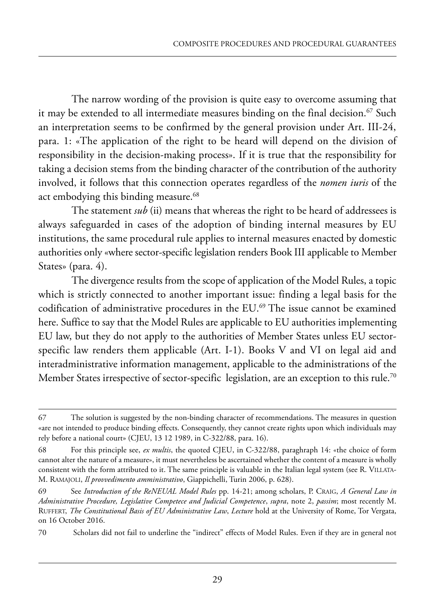The narrow wording of the provision is quite easy to overcome assuming that it may be extended to all intermediate measures binding on the final decision.<sup>67</sup> Such an interpretation seems to be confirmed by the general provision under Art. III-24, para. 1: «The application of the right to be heard will depend on the division of responsibility in the decision-making process». if it is true that the responsibility for taking a decision stems from the binding character of the contribution of the authority involved, it follows that this connection operates regardless of the *nomen iuris* of the act embodying this binding measure.<sup>68</sup>

The statement *sub* (ii) means that whereas the right to be heard of addressees is always safeguarded in cases of the adoption of binding internal measures by EU institutions, the same procedural rule applies to internal measures enacted by domestic authorities only «where sector-specific legislation renders Book III applicable to Member States» (para. 4).

The divergence results from the scope of application of the Model Rules, a topic which is strictly connected to another important issue: finding a legal basis for the codification of administrative procedures in the EU.<sup>69</sup> The issue cannot be examined here. Suffice to say that the Model Rules are applicable to EU authorities implementing EU law, but they do not apply to the authorities of Member States unless EU sectorspecific law renders them applicable  $(Art. I-1)$ . Books V and VI on legal aid and interadministrative information management, applicable to the administrations of the Member States irrespective of sector-specific legislation, are an exception to this rule.<sup>70</sup>

<sup>67</sup> the solution is suggested by the non-binding character of recommendations. the measures in question «are not intended to produce binding effects. Consequently, they cannot create rights upon which individuals may rely before a national court» (CJEU, 13 12 1989, in C-322/88, para. 16).

<sup>68</sup> for this principle see, *ex multis*, the quoted CJeu, in C-322/88, paraghraph 14: «the choice of form cannot alter the nature of a measure», it must nevertheless be ascertained whether the content of a measure is wholly consistent with the form attributed to it. The same principle is valuable in the Italian legal system (see R. VILLATA-M. RAMAJOLI, *Il provvedimento amministrativo*, Giappichelli, Turin 2006, p. 628).

<sup>69</sup> see *Introduction of the ReNEUAL Model Rules* pp. 14-21; among scholars, p. CraiG, *A General Law in Administrative Procedure, Legislative Competece and Judicial Competence*, *supra*, note 2, *passim*; most recently m. RUFFERT, *The Constitutional Basis of EU Administrative Law, Lecture* hold at the University of Rome, Tor Vergata, on 16 October 2016.

<sup>70</sup> scholars did not fail to underline the "indirect" effects of model rules. even if they are in general not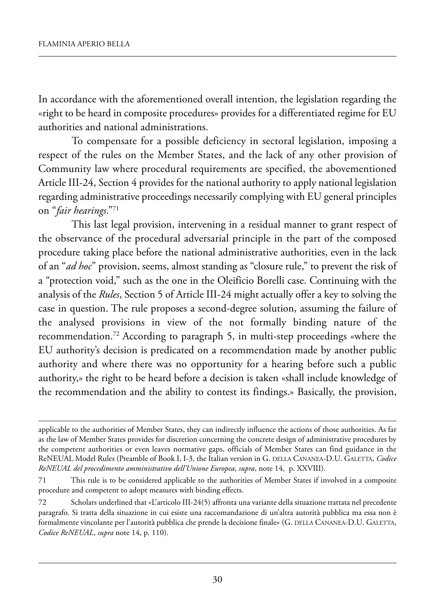In accordance with the aforementioned overall intention, the legislation regarding the «right to be heard in composite procedures» provides for a differentiated regime for EU authorities and national administrations.

To compensate for a possible deficiency in sectoral legislation, imposing a respect of the rules on the Member States, and the lack of any other provision of Community law where procedural requirements are specified, the abovementioned Article III-24, Section 4 provides for the national authority to apply national legislation regarding administrative proceedings necessarily complying with EU general principles on "*fair hearings*."71

This last legal provision, intervening in a residual manner to grant respect of the observance of the procedural adversarial principle in the part of the composed procedure taking place before the national administrative authorities, even in the lack of an "*ad hoc*" provision, seems, almost standing as "closure rule," to prevent the risk of a "protection void," such as the one in the oleificio Borelli case. Continuing with the analysis of the *Rules*, Section 5 of Article III-24 might actually offer a key to solving the case in question. The rule proposes a second-degree solution, assuming the failure of the analysed provisions in view of the not formally binding nature of the recommendation.<sup>72</sup> According to paragraph 5, in multi-step proceedings «where the EU authority's decision is predicated on a recommendation made by another public authority and where there was no opportunity for a hearing before such a public authority,» the right to be heard before a decision is taken «shall include knowledge of the recommendation and the ability to contest its findings.» Basically, the provision,

applicable to the authorities of Member States, they can indirectly influence the actions of those authorities. As far as the law of Member States provides for discretion concerning the concrete design of administrative procedures by the competent authorities or even leaves normative gaps, officials of member states can find guidance in the ReNEUAL Model Rules (Preamble of Book I, I-3, the Italian version in G. DELLA CANANEA-D.U. GALETTA, *Codice ReNEUAL del procedimento amministrativo dell'Unione Europea*, *supra*, note 14, p. XXViii).

<sup>71</sup> this rule is to be considered applicable to the authorities of member states if involved in a composite procedure and competent to adopt measures with binding effects.

<sup>72</sup> scholars underlined that «l'articolo iii-24(5) affronta una variante della situazione trattata nel precedente paragrafo. si tratta della situazione in cui esiste una raccomandazione di un'altra autorità pubblica ma essa non è formalmente vincolante per l'autorità pubblica che prende la decisione finale» (G. DELLA CANANEA-D.U. GALETTA, *Codice ReNEUAL*, *supra* note 14, p. 110).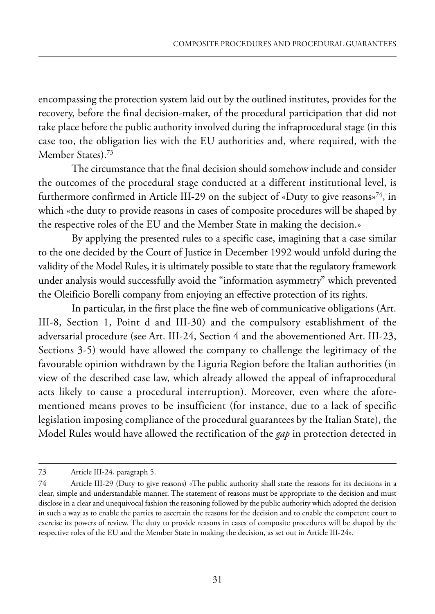encompassing the protection system laid out by the outlined institutes, provides for the recovery, before the final decision-maker, of the procedural participation that did not take place before the public authority involved during the infraprocedural stage (in this case too, the obligation lies with the EU authorities and, where required, with the Member States).<sup>73</sup>

The circumstance that the final decision should somehow include and consider the outcomes of the procedural stage conducted at a different institutional level, is furthermore confirmed in Article III-29 on the subject of «Duty to give reasons»<sup>74</sup>, in which «the duty to provide reasons in cases of composite procedures will be shaped by the respective roles of the EU and the Member State in making the decision.»

By applying the presented rules to a specific case, imagining that a case similar to the one decided by the Court of Justice in December 1992 would unfold during the validity of the Model Rules, it is ultimately possible to state that the regulatory framework under analysis would successfully avoid the "information asymmetry" which prevented the oleificio Borelli company from enjoying an effective protection of its rights.

In particular, in the first place the fine web of communicative obligations (Art. III-8, Section 1, Point d and III-30) and the compulsory establishment of the adversarial procedure (see Art. III-24, Section 4 and the abovementioned Art. III-23, sections 3-5) would have allowed the company to challenge the legitimacy of the favourable opinion withdrawn by the Liguria Region before the Italian authorities (in view of the described case law, which already allowed the appeal of infraprocedural acts likely to cause a procedural interruption). moreover, even where the aforementioned means proves to be insufficient (for instance, due to a lack of specific legislation imposing compliance of the procedural guarantees by the Italian State), the Model Rules would have allowed the rectification of the *gap* in protection detected in

<sup>73</sup> Article III-24, paragraph 5.

<sup>74</sup> Article III-29 (Duty to give reasons) «The public authority shall state the reasons for its decisions in a clear, simple and understandable manner. the statement of reasons must be appropriate to the decision and must disclose in a clear and unequivocal fashion the reasoning followed by the public authority which adopted the decision in such a way as to enable the parties to ascertain the reasons for the decision and to enable the competent court to exercise its powers of review. the duty to provide reasons in cases of composite procedures will be shaped by the respective roles of the EU and the Member State in making the decision, as set out in Article III-24».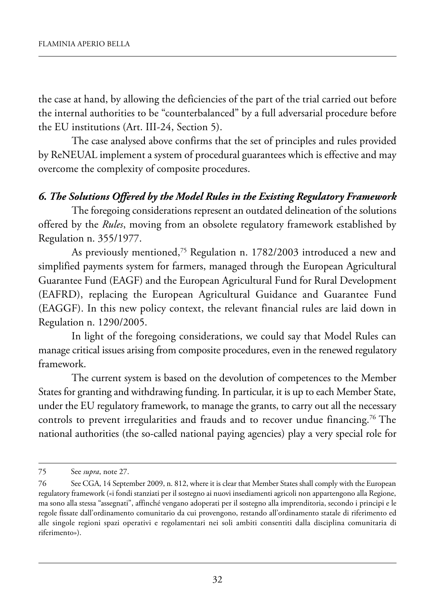the case at hand, by allowing the deficiencies of the part of the trial carried out before the internal authorities to be "counterbalanced" by a full adversarial procedure before the EU institutions (Art. III-24, Section 5).

The case analysed above confirms that the set of principles and rules provided by ReNEUAL implement a system of procedural guarantees which is effective and may overcome the complexity of composite procedures.

### *6. The Solutions Offered by the Model Rules in the Existing Regulatory Framework*

The foregoing considerations represent an outdated delineation of the solutions offered by the *Rules*, moving from an obsolete regulatory framework established by Regulation n. 355/1977.

As previously mentioned,<sup>75</sup> Regulation n. 1782/2003 introduced a new and simplified payments system for farmers, managed through the European Agricultural Guarantee Fund (EAGF) and the European Agricultural Fund for Rural Development (EAFRD), replacing the European Agricultural Guidance and Guarantee Fund (eaGGf). in this new policy context, the relevant financial rules are laid down in Regulation n. 1290/2005.

In light of the foregoing considerations, we could say that Model Rules can manage critical issues arising from composite procedures, even in the renewed regulatory framework.

The current system is based on the devolution of competences to the Member States for granting and withdrawing funding. In particular, it is up to each Member State, under the EU regulatory framework, to manage the grants, to carry out all the necessary controls to prevent irregularities and frauds and to recover undue financing.<sup>76</sup> The national authorities (the so-called national paying agencies) play a very special role for

<sup>75</sup> see *supra*, note 27.

<sup>76</sup> See CGA, 14 September 2009, n. 812, where it is clear that Member States shall comply with the European regulatory framework («i fondi stanziati per il sostegno ai nuovi insediamenti agricoli non appartengono alla regione, ma sono alla stessa "assegnati", affinché vengano adoperati per il sostegno alla imprenditoria, secondo i principi e le regole fissate dall'ordinamento comunitario da cui provengono, restando all'ordinamento statale di riferimento ed alle singole regioni spazi operativi e regolamentari nei soli ambiti consentiti dalla disciplina comunitaria di riferimento»).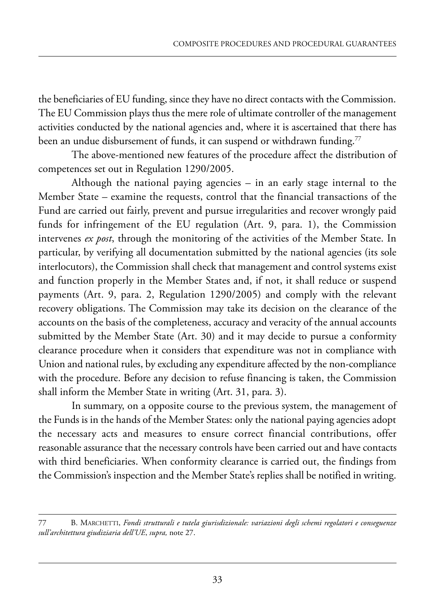the beneficiaries of EU funding, since they have no direct contacts with the Commission. The EU Commission plays thus the mere role of ultimate controller of the management activities conducted by the national agencies and, where it is ascertained that there has been an undue disbursement of funds, it can suspend or withdrawn funding.<sup>77</sup>

The above-mentioned new features of the procedure affect the distribution of competences set out in Regulation 1290/2005.

Although the national paying agencies  $-$  in an early stage internal to the Member State – examine the requests, control that the financial transactions of the fund are carried out fairly, prevent and pursue irregularities and recover wrongly paid funds for infringement of the EU regulation (Art. 9, para. 1), the Commission intervenes *ex post*, through the monitoring of the activities of the Member State. In particular, by verifying all documentation submitted by the national agencies (its sole interlocutors), the Commission shall check that management and control systems exist and function properly in the Member States and, if not, it shall reduce or suspend payments (Art. 9, para. 2, Regulation 1290/2005) and comply with the relevant recovery obligations. The Commission may take its decision on the clearance of the accounts on the basis of the completeness, accuracy and veracity of the annual accounts submitted by the Member State (Art. 30) and it may decide to pursue a conformity clearance procedure when it considers that expenditure was not in compliance with Union and national rules, by excluding any expenditure affected by the non-compliance with the procedure. Before any decision to refuse financing is taken, the Commission shall inform the Member State in writing (Art. 31, para. 3).

In summary, on a opposite course to the previous system, the management of the Funds is in the hands of the Member States: only the national paying agencies adopt the necessary acts and measures to ensure correct financial contributions, offer reasonable assurance that the necessary controls have been carried out and have contacts with third beneficiaries. when conformity clearance is carried out, the findings from the Commission's inspection and the Member State's replies shall be notified in writing.

<sup>77</sup> B. marChetti, *Fondi strutturali e tutela giurisdizionale: variazioni degli schemi regolatori e conseguenze sull'architettura giudiziaria dell'UE*, *supra,* note 27.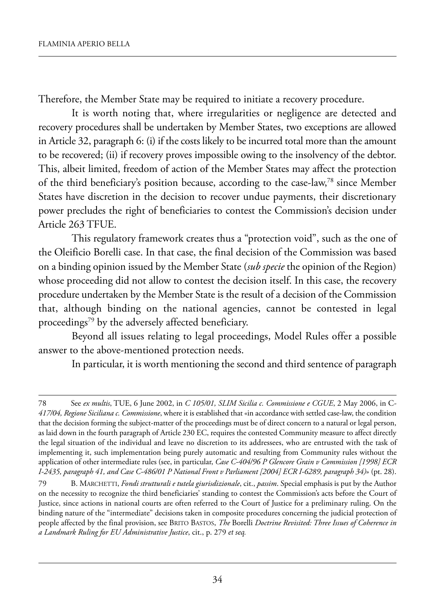Therefore, the Member State may be required to initiate a recovery procedure.

It is worth noting that, where irregularities or negligence are detected and recovery procedures shall be undertaken by Member States, two exceptions are allowed in Article 32, paragraph 6: (i) if the costs likely to be incurred total more than the amount to be recovered; (ii) if recovery proves impossible owing to the insolvency of the debtor. This, albeit limited, freedom of action of the Member States may affect the protection of the third beneficiary's position because, according to the case-law, $78$  since Member states have discretion in the decision to recover undue payments, their discretionary power precludes the right of beneficiaries to contest the Commission's decision under Article 263 TFUE.

This regulatory framework creates thus a "protection void", such as the one of the oleificio Borelli case. in that case, the final decision of the Commission was based on a binding opinion issued by the Member State (*sub specie* the opinion of the Region) whose proceeding did not allow to contest the decision itself. In this case, the recovery procedure undertaken by the Member State is the result of a decision of the Commission that, although binding on the national agencies, cannot be contested in legal proceedings<sup>79</sup> by the adversely affected beneficiary.

Beyond all issues relating to legal proceedings, Model Rules offer a possible answer to the above-mentioned protection needs.

In particular, it is worth mentioning the second and third sentence of paragraph

<sup>78</sup> see *ex multis*, tue, 6 June 2002, in *C 105/01, SLIM Sicilia c. Commissione e CGUE*, 2 may 2006, in C*-417/04, Regione Siciliana c. Commissione*, where it is established that «in accordance with settled case-law, the condition that the decision forming the subject-matter of the proceedings must be of direct concern to a natural or legal person, as laid down in the fourth paragraph of Article 230 EC, requires the contested Community measure to affect directly the legal situation of the individual and leave no discretion to its addressees, who are entrusted with the task of implementing it, such implementation being purely automatic and resulting from Community rules without the application of other intermediate rules (see, in particular, *Case C-404/96 P Glencore Grain v Commission [1998] ECR I-2435, paragraph 41, and Case C-486/01 P National Front v Parliament [2004] ECR I-6289, paragraph 34)*» (pt. 28).

<sup>79</sup> B. marChetti, *Fondi strutturali e tutela giurisdizionale*, cit., *passim*. special emphasis is put by the author on the necessity to recognize the third beneficiaries' standing to contest the Commission's acts before the Court of Justice, since actions in national courts are often referred to the Court of Justice for a preliminary ruling. On the binding nature of the "intermediate" decisions taken in composite procedures concerning the judicial protection of people affected by the final provision, see Brito Bastos, *The* Borelli *Doctrine Revisited: Three Issues of Coherence in a Landmark Ruling for EU Administrative Justice*, cit., p. 279 *et seq.*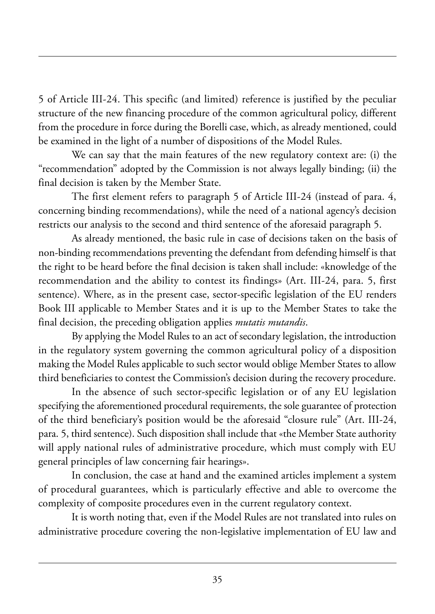5 of Article III-24. This specific (and limited) reference is justified by the peculiar structure of the new financing procedure of the common agricultural policy, different from the procedure in force during the Borelli case, which, as already mentioned, could be examined in the light of a number of dispositions of the Model Rules.

we can say that the main features of the new regulatory context are: (i) the "recommendation" adopted by the Commission is not always legally binding; (ii) the final decision is taken by the Member State.

The first element refers to paragraph 5 of Article III-24 (instead of para. 4, concerning binding recommendations), while the need of a national agency's decision restricts our analysis to the second and third sentence of the aforesaid paragraph 5.

As already mentioned, the basic rule in case of decisions taken on the basis of non-binding recommendations preventing the defendant from defending himself is that the right to be heard before the final decision is taken shall include: «knowledge of the recommendation and the ability to contest its findings» (Art. III-24, para. 5, first sentence). Where, as in the present case, sector-specific legislation of the EU renders Book III applicable to Member States and it is up to the Member States to take the final decision, the preceding obligation applies *mutatis mutandis*.

By applying the Model Rules to an act of secondary legislation, the introduction in the regulatory system governing the common agricultural policy of a disposition making the Model Rules applicable to such sector would oblige Member States to allow third beneficiaries to contest the Commission's decision during the recovery procedure.

In the absence of such sector-specific legislation or of any EU legislation specifying the aforementioned procedural requirements, the sole guarantee of protection of the third beneficiary's position would be the aforesaid "closure rule" (art. iii-24, para. 5, third sentence). Such disposition shall include that «the Member State authority will apply national rules of administrative procedure, which must comply with EU general principles of law concerning fair hearings».

In conclusion, the case at hand and the examined articles implement a system of procedural guarantees, which is particularly effective and able to overcome the complexity of composite procedures even in the current regulatory context.

It is worth noting that, even if the Model Rules are not translated into rules on administrative procedure covering the non-legislative implementation of EU law and